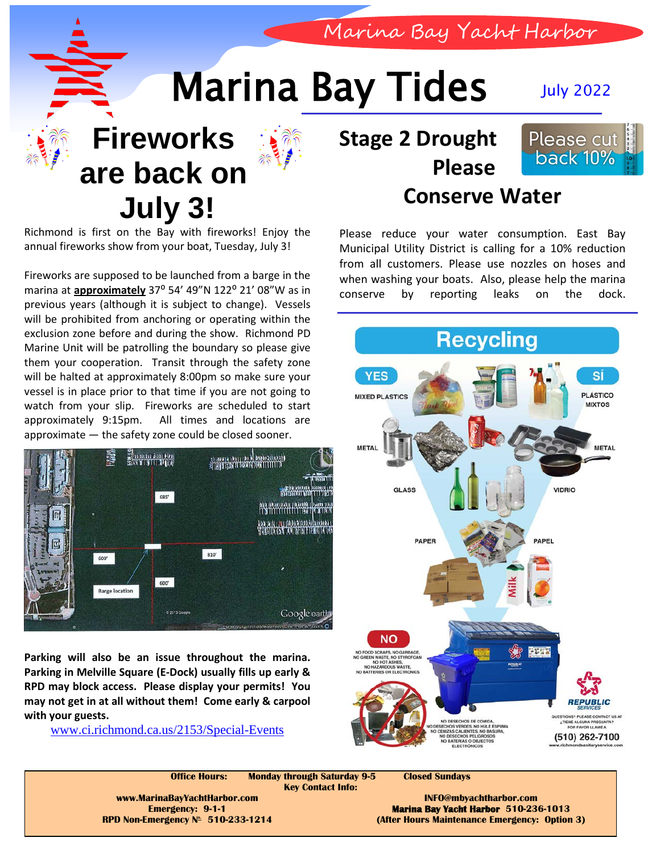Marina Bay Yacht Harbor

## Marina Bay Tides July 2022



**Fireworks** 



## **are back on July 3!**

Richmond is first on the Bay with fireworks! Enjoy the annual fireworks show from your boat, Tuesday, July 3!

Fireworks are supposed to be launched from a barge in the marina at **approximately** 37° 54' 49"N 122° 21' 08"W as in previous years (although it is subject to change). Vessels will be prohibited from anchoring or operating within the exclusion zone before and during the show. Richmond PD Marine Unit will be patrolling the boundary so please give them your cooperation. Transit through the safety zone will be halted at approximately 8:00pm so make sure your vessel is in place prior to that time if you are not going to watch from your slip. Fireworks are scheduled to start approximately 9:15pm. All times and locations are approximate — the safety zone could be closed sooner.



**Parking will also be an issue throughout the marina. Parking in Melville Square (E-Dock) usually fills up early & RPD may block access. Please display your permits! You may not get in at all without them! Come early & carpool with your guests.**

[www.ci.richmond.ca.us/2153/Special-Events](http://www.ci.richmond.ca.us/2153/Special-Events)

## **Stage 2 Drought Please**



## **Conserve Water**

Please reduce your water consumption. East Bay Municipal Utility District is calling for a 10% reduction from all customers. Please use nozzles on hoses and when washing your boats. Also, please help the marina conserve by reporting leaks on the dock.



**Office Hours: Monday through Saturday 9-5 Closed Sundays Key Contact Info: www.MarinaBayYachtHarbor.com INFO@mbyachtharbor.com Emergency: 9-1-1 Marina Bay Yacht Harbor 510-236-1013 RPD Non-Emergency Nº 510-233-1214 (After Hours Maintenance Emergency: Option 3)**